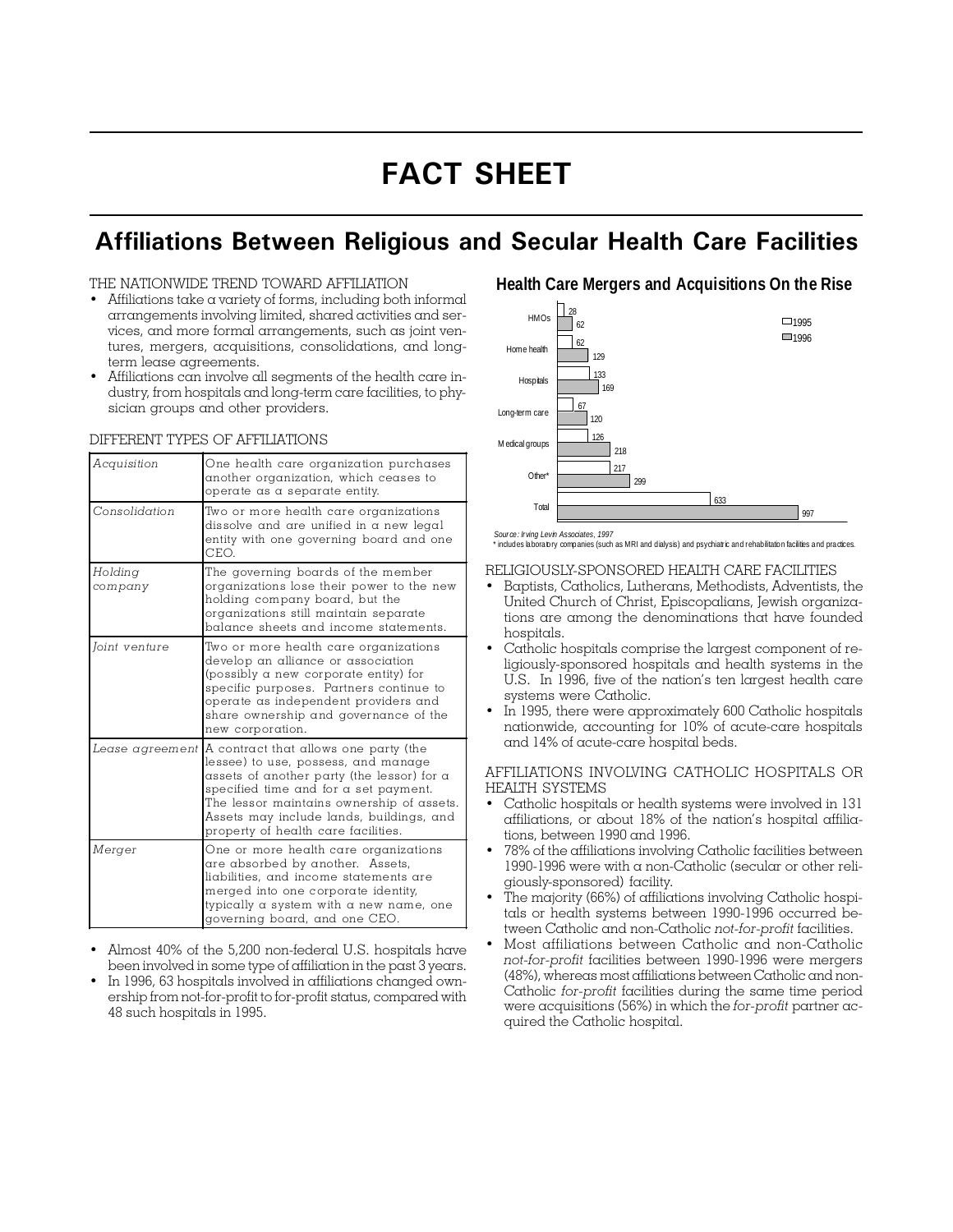# FACT SHEET

### Affiliations Between Religious and Secular Health Care Facilities

#### THE NATIONWIDE TREND TOWARD AFFILIATION

- Affiliations take a variety of forms, including both informal arrangements involving limited, shared activities and services, and more formal arrangements, such as joint ventures, mergers, acquisitions, consolidations, and longterm lease agreements.
- Affiliations can involve all segments of the health care industry, from hospitals and long-term care facilities, to physician groups and other providers.

#### DIFFERENT TYPES OF AFFILIATIONS

| Acquisition        | One health care organization purchases<br>another organization, which ceases to<br>operate as a separate entity.                                                                                                                                                                                    |  |  |  |
|--------------------|-----------------------------------------------------------------------------------------------------------------------------------------------------------------------------------------------------------------------------------------------------------------------------------------------------|--|--|--|
| Consolidation      | Two or more health care organizations<br>dissolve and are unified in a new legal<br>entity with one governing board and one<br>CEO.                                                                                                                                                                 |  |  |  |
| Holding<br>company | The governing boards of the member<br>organizations lose their power to the new<br>holding company board, but the<br>organizations still maintain separate<br>balance sheets and income statements.                                                                                                 |  |  |  |
| Joint venture      | Two or more health care organizations<br>develop an alliance or association<br>(possibly a new corporate entity) for<br>specific purposes. Partners continue to<br>operate as independent providers and<br>share ownership and governance of the<br>new corporation.                                |  |  |  |
| Lease agreement    | A contract that allows one party (the<br>lessee) to use, possess, and manage<br>assets of another party (the lessor) for a<br>specified time and for a set payment.<br>The lessor maintains ownership of assets.<br>Assets may include lands, buildings, and<br>property of health care facilities. |  |  |  |
| Merger             | One or more health care organizations<br>are absorbed by another. Assets,<br>liabilities, and income statements are<br>merged into one corporate identity,<br>typically a system with a new name, one<br>governing board, and one CEO.                                                              |  |  |  |

- Almost 40% of the 5,200 non-federal U.S. hospitals have been involved in some type of affiliation in the past 3 years.
- In 1996, 63 hospitals involved in affiliations changed ownership from not-for-profit to for-profit status, compared with 48 such hospitals in 1995.

### **Health Care Mergers and Acquisitions On the Rise**



\* includes laboratory companies (such as MRI and dialysis) and psychiatric and rehabilitation facilities and practices.

#### RELIGIOUSLY-SPONSORED HEALTH CARE FACILITIES

- Baptists, Catholics, Lutherans, Methodists, Adventists, the United Church of Christ, Episcopalians, Jewish organizations are among the denominations that have founded hospitals.
- Catholic hospitals comprise the largest component of religiously-sponsored hospitals and health systems in the U.S. In 1996, five of the nation's ten largest health care systems were Catholic.
- In 1995, there were approximately 600 Catholic hospitals nationwide, accounting for 10% of acute-care hospitals and 14% of acute-care hospital beds.

#### AFFILIATIONS INVOLVING CATHOLIC HOSPITALS OR HEALTH SYSTEMS

- Catholic hospitals or health systems were involved in 131 affiliations, or about 18% of the nation's hospital affiliations, between 1990 and 1996.
- 78% of the affiliations involving Catholic facilities between 1990-1996 were with a non-Catholic (secular or other religiously-sponsored) facility.
- The majority (66%) of affiliations involving Catholic hospitals or health systems between 1990-1996 occurred between Catholic and non-Catholic not-for-profit facilities.
- Most affiliations between Catholic and non-Catholic not-for-profit facilities between 1990-1996 were mergers (48%), whereas most affiliations between Catholic and non-Catholic for-profit facilities during the same time period were acquisitions (56%) in which the for-profit partner acquired the Catholic hospital.